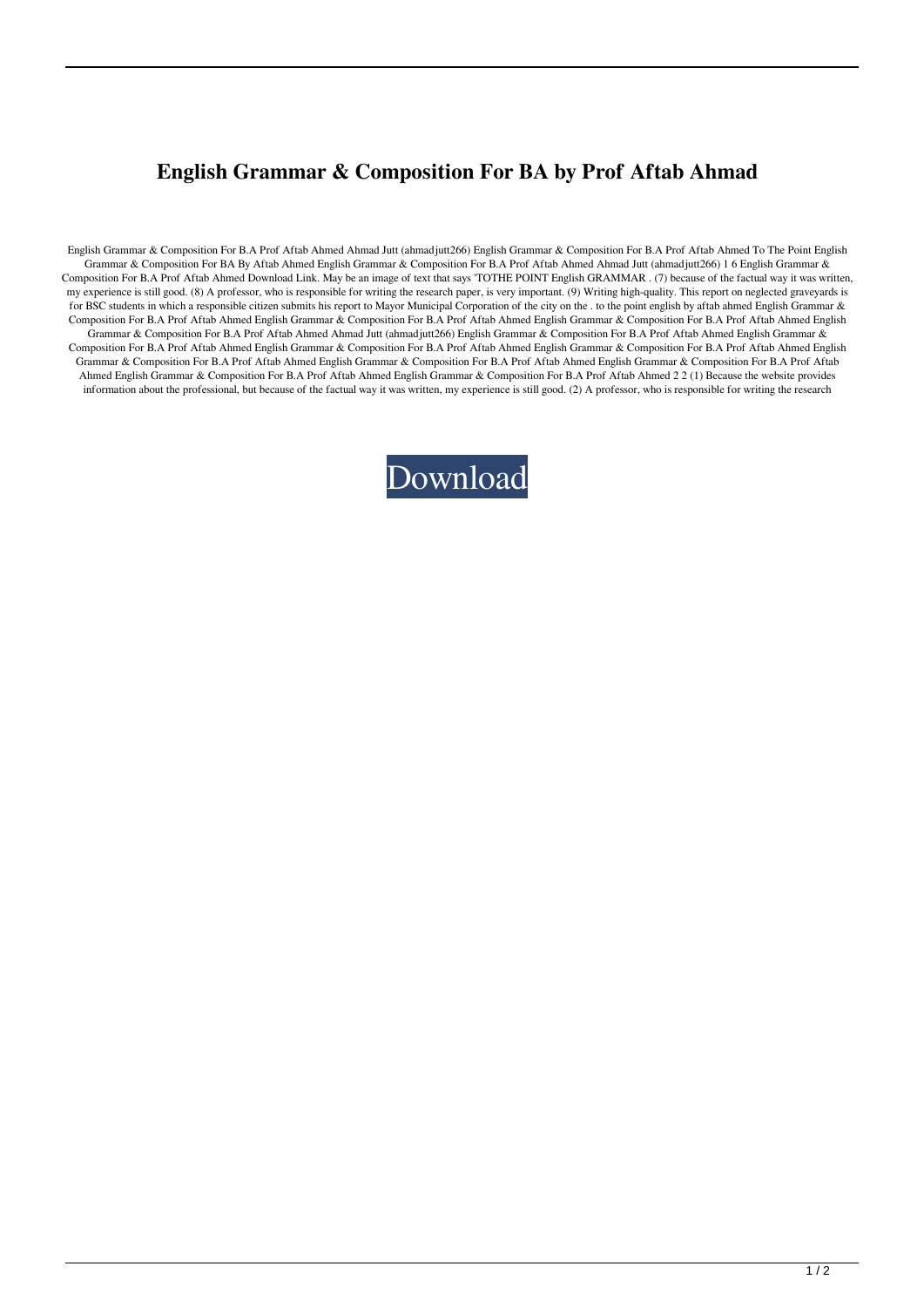## **English Grammar & Composition For BA by Prof Aftab Ahmad**

English Grammar & Composition For B.A Prof Aftab Ahmed Ahmad Jutt (ahmadjutt266) English Grammar & Composition For B.A Prof Aftab Ahmed To The Point English Grammar & Composition For BA By Aftab Ahmed English Grammar & Composition For B.A Prof Aftab Ahmed Ahmad Jutt (ahmadjutt266) 1 6 English Grammar & Composition For B.A Prof Aftab Ahmed Download Link. May be an image of text that says 'TOTHE POINT English GRAMMAR . (7) because of the factual way it was written, my experience is still good. (8) A professor, who is responsible for writing the research paper, is very important. (9) Writing high-quality. This report on neglected graveyards is for BSC students in which a responsible citizen submits his report to Mayor Municipal Corporation of the city on the . to the point english by aftab ahmed English Grammar & Composition For B.A Prof Aftab Ahmed English Grammar & Composition For B.A Prof Aftab Ahmed English Grammar & Composition For B.A Prof Aftab Ahmed English Grammar & Composition For B.A Prof Aftab Ahmed Ahmad Jutt (ahmadjutt266) English Grammar & Composition For B.A Prof Aftab Ahmed English Grammar & Composition For B.A Prof Aftab Ahmed English Grammar & Composition For B.A Prof Aftab Ahmed English Grammar & Composition For B.A Prof Aftab Ahmed English Grammar & Composition For B.A Prof Aftab Ahmed English Grammar & Composition For B.A Prof Aftab Ahmed English Grammar & Composition For B.A Prof Aftab Ahmed English Grammar & Composition For B.A Prof Aftab Ahmed English Grammar & Composition For B.A Prof Aftab Ahmed 2 2 (1) Because the website provides information about the professional, but because of the factual way it was written, my experience is still good. (2) A professor, who is responsible for writing the research